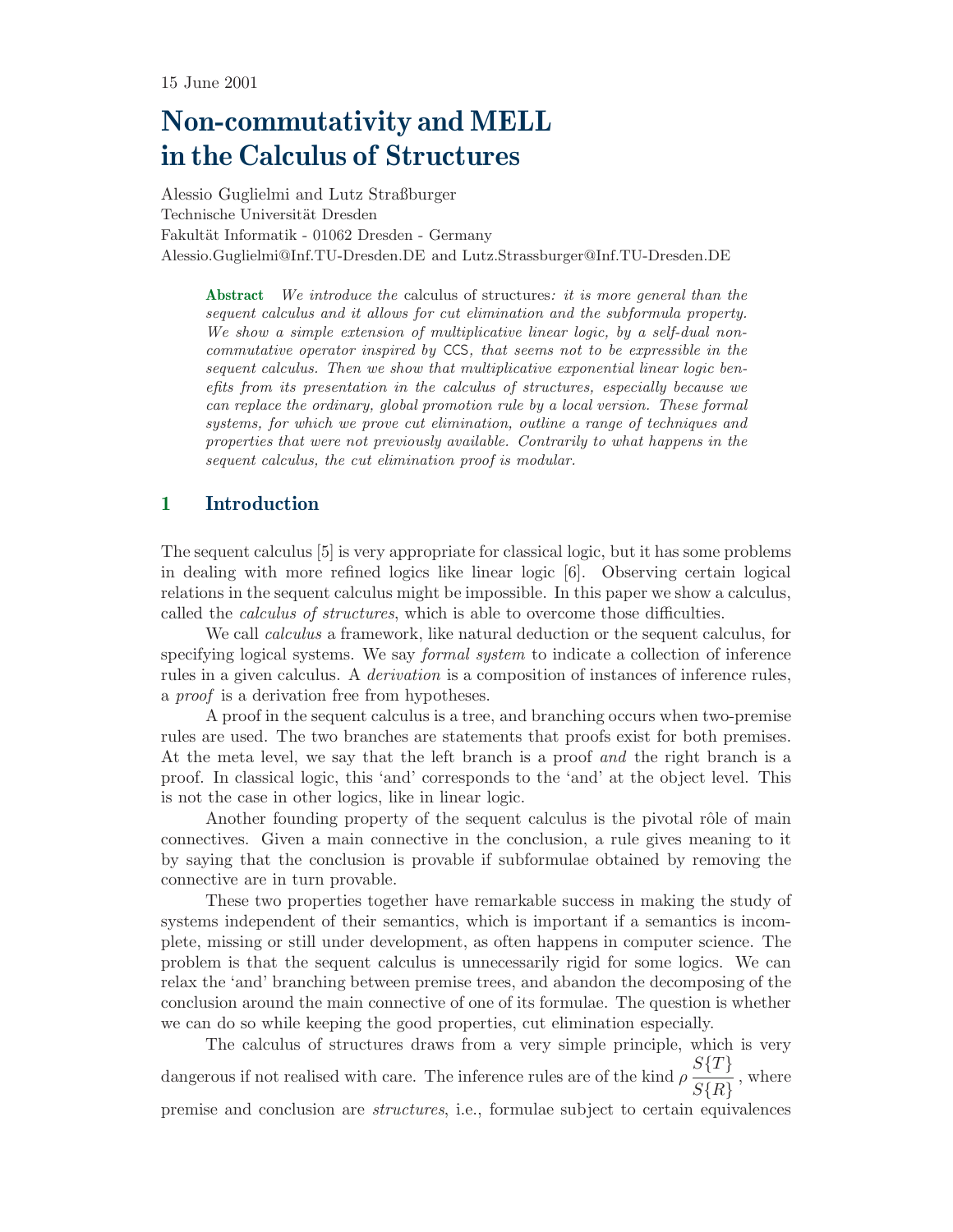# **Non-commutativity and MELL in the Calculus of Structures**

Alessio Guglielmi and Lutz Straßburger Technische Universität Dresden Fakultät Informatik - 01062 Dresden - Germany Alessio.Guglielmi@Inf.TU-Dresden.DE and Lutz.Strassburger@Inf.TU-Dresden.DE

**Abstract** We introduce the calculus of structures: it is more general than the sequent calculus and it allows for cut elimination and the subformula property. We show a simple extension of multiplicative linear logic, by a self-dual noncommutative operator inspired by CCS, that seems not to be expressible in the sequent calculus. Then we show that multiplicative exponential linear logic benefits from its presentation in the calculus of structures, especially because we can replace the ordinary, global promotion rule by a local version. These formal systems, for which we prove cut elimination, outline a range of techniques and properties that were not previously available. Contrarily to what happens in the sequent calculus, the cut elimination proof is modular.

## **1 Introduction**

The sequent calculus [5] is very appropriate for classical logic, but it has some problems in dealing with more refined logics like linear logic [6]. Observing certain logical relations in the sequent calculus might be impossible. In this paper we show a calculus, called the calculus of structures, which is able to overcome those difficulties.

We call *calculus* a framework, like natural deduction or the sequent calculus, for specifying logical systems. We say *formal system* to indicate a collection of inference rules in a given calculus. A derivation is a composition of instances of inference rules, a proof is a derivation free from hypotheses.

A proof in the sequent calculus is a tree, and branching occurs when two-premise rules are used. The two branches are statements that proofs exist for both premises. At the meta level, we say that the left branch is a proof and the right branch is a proof. In classical logic, this 'and' corresponds to the 'and' at the object level. This is not the case in other logics, like in linear logic.

Another founding property of the sequent calculus is the pivotal rôle of main connectives. Given a main connective in the conclusion, a rule gives meaning to it by saying that the conclusion is provable if subformulae obtained by removing the connective are in turn provable.

These two properties together have remarkable success in making the study of systems independent of their semantics, which is important if a semantics is incomplete, missing or still under development, as often happens in computer science. The problem is that the sequent calculus is unnecessarily rigid for some logics. We can relax the 'and' branching between premise trees, and abandon the decomposing of the conclusion around the main connective of one of its formulae. The question is whether we can do so while keeping the good properties, cut elimination especially.

The calculus of structures draws from a very simple principle, which is very dangerous if not realised with care. The inference rules are of the kind  $S\{T\}$  $\rho \frac{S(T)}{S\{R\}}$ , where premise and conclusion are structures, i.e., formulae subject to certain equivalences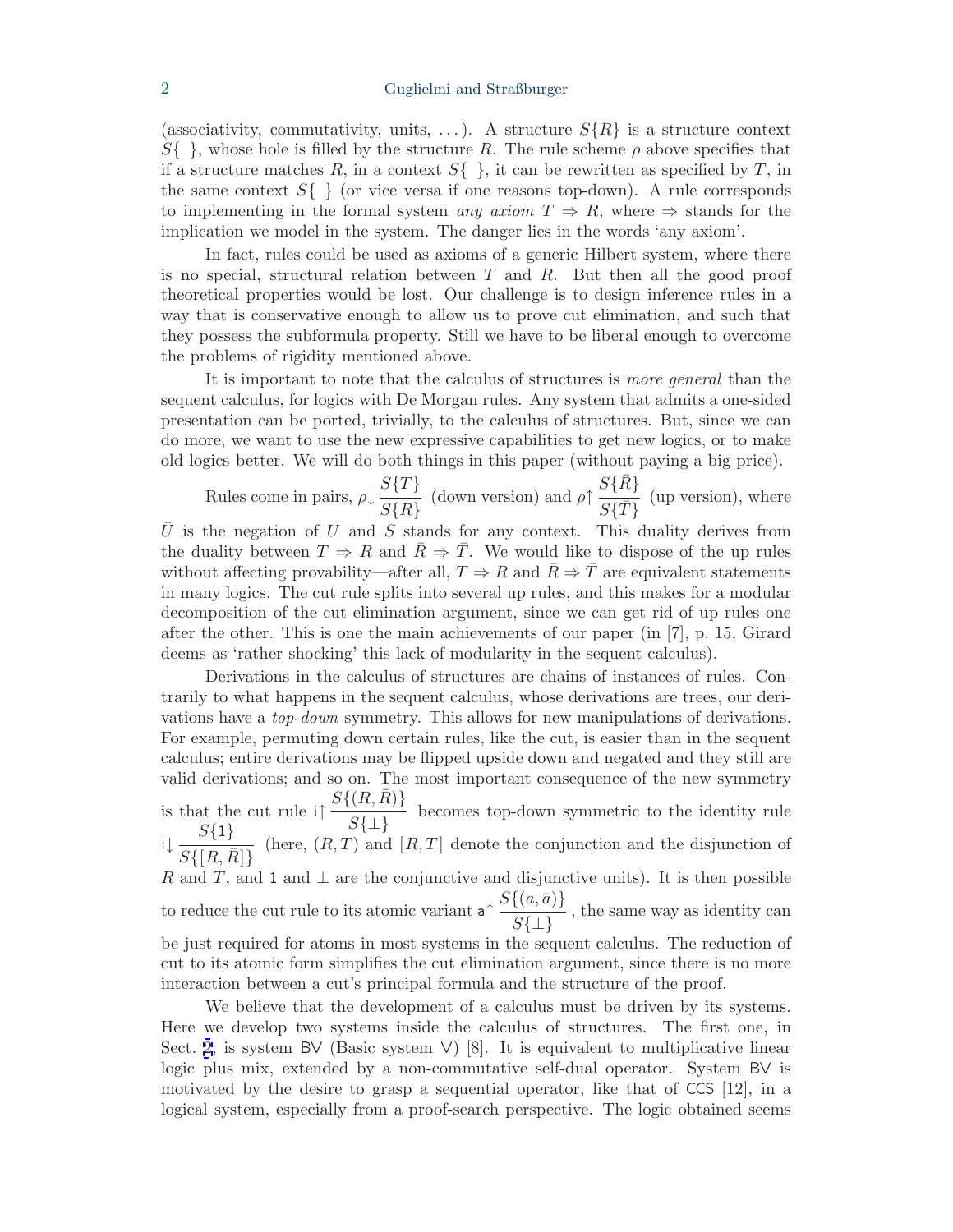(associativity, commutativity, units, ...). A structure  $S\{R\}$  is a structure context  $S\{\}\$ , whose hole is filled by the structure R. The rule scheme  $\rho$  above specifies that if a structure matches R, in a context  $S\{\}\,$ , it can be rewritten as specified by T, in the same context  $S\{\}\)$  (or vice versa if one reasons top-down). A rule corresponds to implementing in the formal system any axiom  $T \Rightarrow R$ , where  $\Rightarrow$  stands for the implication we model in the system. The danger lies in the words 'any axiom'.

In fact, rules could be used as axioms of a generic Hilbert system, where there is no special, structural relation between  $T$  and  $R$ . But then all the good proof theoretical properties would be lost. Our challenge is to design inference rules in a way that is conservative enough to allow us to prove cut elimination, and such that they possess the subformula property. Still we have to be liberal enough to overcome the problems of rigidity mentioned above.

It is important to note that the calculus of structures is more general than the sequent calculus, for logics with De Morgan rules. Any system that admits a one-sided presentation can be ported, trivially, to the calculus of structures. But, since we can do more, we want to use the new expressive capabilities to get new logics, or to make old logics better. We will do both things in this paper (without paying a big price).

Rules come in pairs,  $\rho \downarrow \frac{S\{T\}}{S\{R\}}$  (down version) and  $\rho \uparrow \frac{S\{\bar{R}\}}{S\{\bar{T}\}}$  (up version), where  $\overline{U}$  is the negation of U and S stands for any context. This duality derives from the duality between  $T \Rightarrow R$  and  $R \Rightarrow T$ . We would like to dispose of the up rules without affecting provability—after all,  $T \Rightarrow R$  and  $\overline{R} \Rightarrow \overline{T}$  are equivalent statements in many logics. The cut rule splits into several up rules, and this makes for a modular decomposition of the cut elimination argument, since we can get rid of up rules one after the other. This is one the main achievements of our paper (in [7], p. 15, Girard deems as 'rather shocking' this lack of modularity in the sequent calculus).

Derivations in the calculus of structures are chains of instances of rules. Contrarily to what happens in the sequent calculus, whose derivations are trees, our derivations have a top-down symmetry. This allows for new manipulations of derivations. For example, permuting down certain rules, like the cut, is easier than in the sequent calculus; entire derivations may be flipped upside down and negated and they still are valid derivations; and so on. The most important consequence of the new symmetry is that the cut rule  $\int \frac{S\{(R,\bar{R})\}}{S\{\perp\}}$  becomes top-down symmetric to the identity rule  $S\{\frac{S\{1\}}{S\{[R,\bar{R}]\}}\}$  (here,  $(R,T)$  and  $[R,T]$  denote the conjunction and the disjunction of R and T, and 1 and  $\perp$  are the conjunctive and disjunctive units). It is then possible to reduce the cut rule to its atomic variant  $S\{(a,\bar{a})\}$  $a \uparrow \frac{S(\Box, \Box)}{S\{\bot\}},$  the same way as identity can be just required for atoms in most systems in the sequent calculus. The reduction of cut to its atomic form simplifies the cut elimination argument, since there is no more interaction between a cut's principal formula and the structure of the proof.

We believe that the development of a calculus must be driven by its systems. Here we develop two systems inside the calculus of structures. The first one, in Sect. [2](#page-2-0), is system BV (Basic system V) [8]. It is equivalent to multiplicative linear logic plus mix, extended by a non-commutative self-dual operator. System BV is motivated by the desire to grasp a sequential operator, like that of CCS [12], in a logical system, especially from a proof-search perspective. The logic obtained seems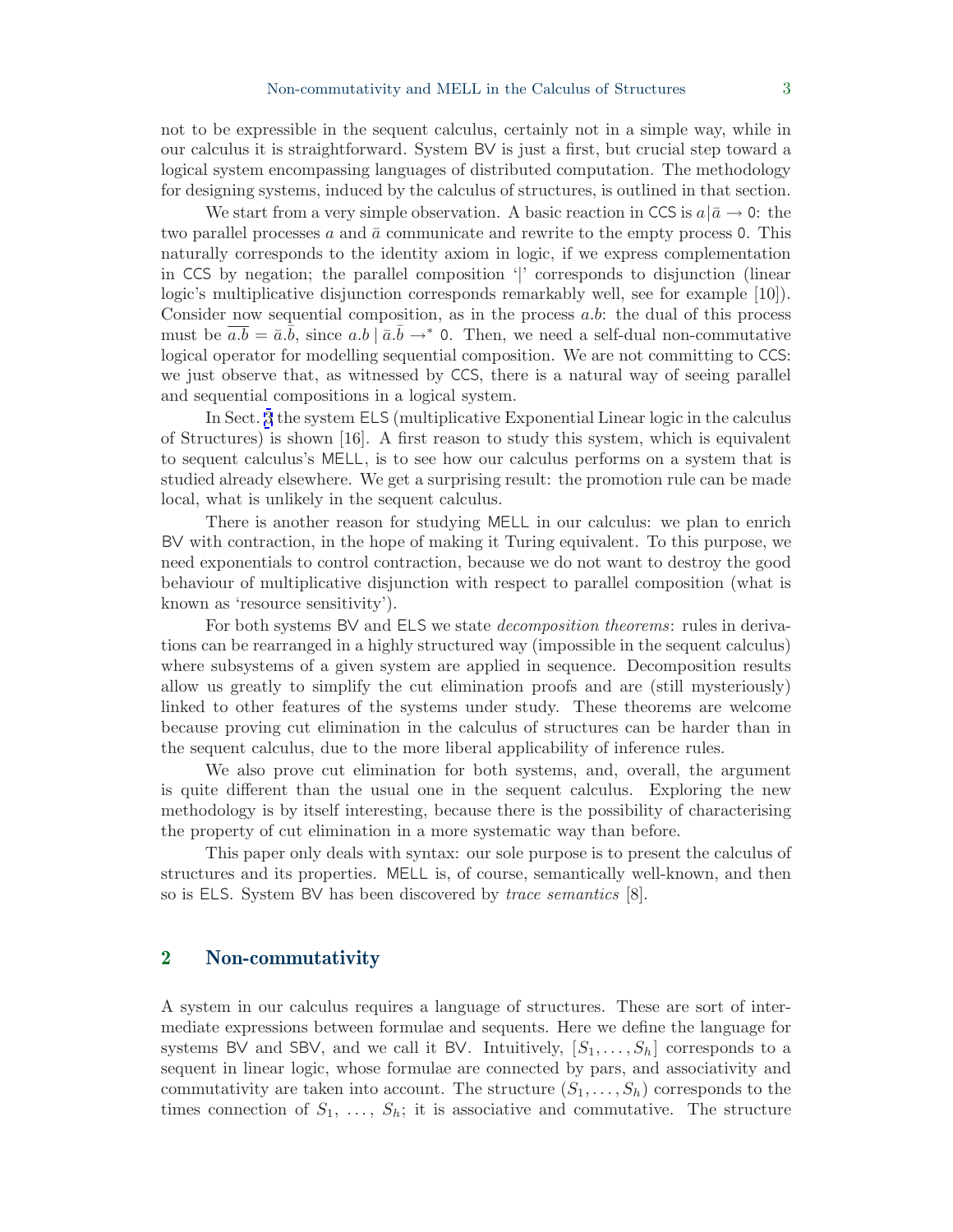<span id="page-2-0"></span>not to be expressible in the sequent calculus, certainly not in a simple way, while in our calculus it is straightforward. System BV is just a first, but crucial step toward a logical system encompassing languages of distributed computation. The methodology for designing systems, induced by the calculus of structures, is outlined in that section.

We start from a very simple observation. A basic reaction in CCS is  $a|\bar{a}\to 0$ : the two parallel processes a and  $\bar{a}$  communicate and rewrite to the empty process 0. This naturally corresponds to the identity axiom in logic, if we express complementation in CCS by negation; the parallel composition '|' corresponds to disjunction (linear logic's multiplicative disjunction corresponds remarkably well, see for example [10]). Consider now sequential composition, as in the process  $a.b$ : the dual of this process must be  $\overline{a.b} = \overline{a}.\overline{b}$ , since  $a.b \mid \overline{a}.\overline{b} \to^* 0$ . Then, we need a self-dual non-commutative logical operator for modelling sequential composition. We are not committing to CCS: we just observe that, as witnessed by CCS, there is a natural way of seeing parallel and sequential compositions in a logical system.

In Sect. [3](#page-8-0) the system ELS (multiplicative Exponential Linear logic in the calculus of Structures) is shown [16]. A first reason to study this system, which is equivalent to sequent calculus's MELL, is to see how our calculus performs on a system that is studied already elsewhere. We get a surprising result: the promotion rule can be made local, what is unlikely in the sequent calculus.

There is another reason for studying MELL in our calculus: we plan to enrich BV with contraction, in the hope of making it Turing equivalent. To this purpose, we need exponentials to control contraction, because we do not want to destroy the good behaviour of multiplicative disjunction with respect to parallel composition (what is known as 'resource sensitivity').

For both systems BV and ELS we state *decomposition theorems*: rules in derivations can be rearranged in a highly structured way (impossible in the sequent calculus) where subsystems of a given system are applied in sequence. Decomposition results allow us greatly to simplify the cut elimination proofs and are (still mysteriously) linked to other features of the systems under study. These theorems are welcome because proving cut elimination in the calculus of structures can be harder than in the sequent calculus, due to the more liberal applicability of inference rules.

We also prove cut elimination for both systems, and, overall, the argument is quite different than the usual one in the sequent calculus. Exploring the new methodology is by itself interesting, because there is the possibility of characterising the property of cut elimination in a more systematic way than before.

This paper only deals with syntax: our sole purpose is to present the calculus of structures and its properties. MELL is, of course, semantically well-known, and then so is ELS. System BV has been discovered by trace semantics [8].

## **2 Non-commutativity**

A system in our calculus requires a language of structures. These are sort of intermediate expressions between formulae and sequents. Here we define the language for systems BV and SBV, and we call it BV. Intuitively,  $[S_1, \ldots, S_h]$  corresponds to a sequent in linear logic, whose formulae are connected by pars, and associativity and commutativity are taken into account. The structure  $(S_1, \ldots, S_h)$  corresponds to the times connection of  $S_1, \ldots, S_h$ ; it is associative and commutative. The structure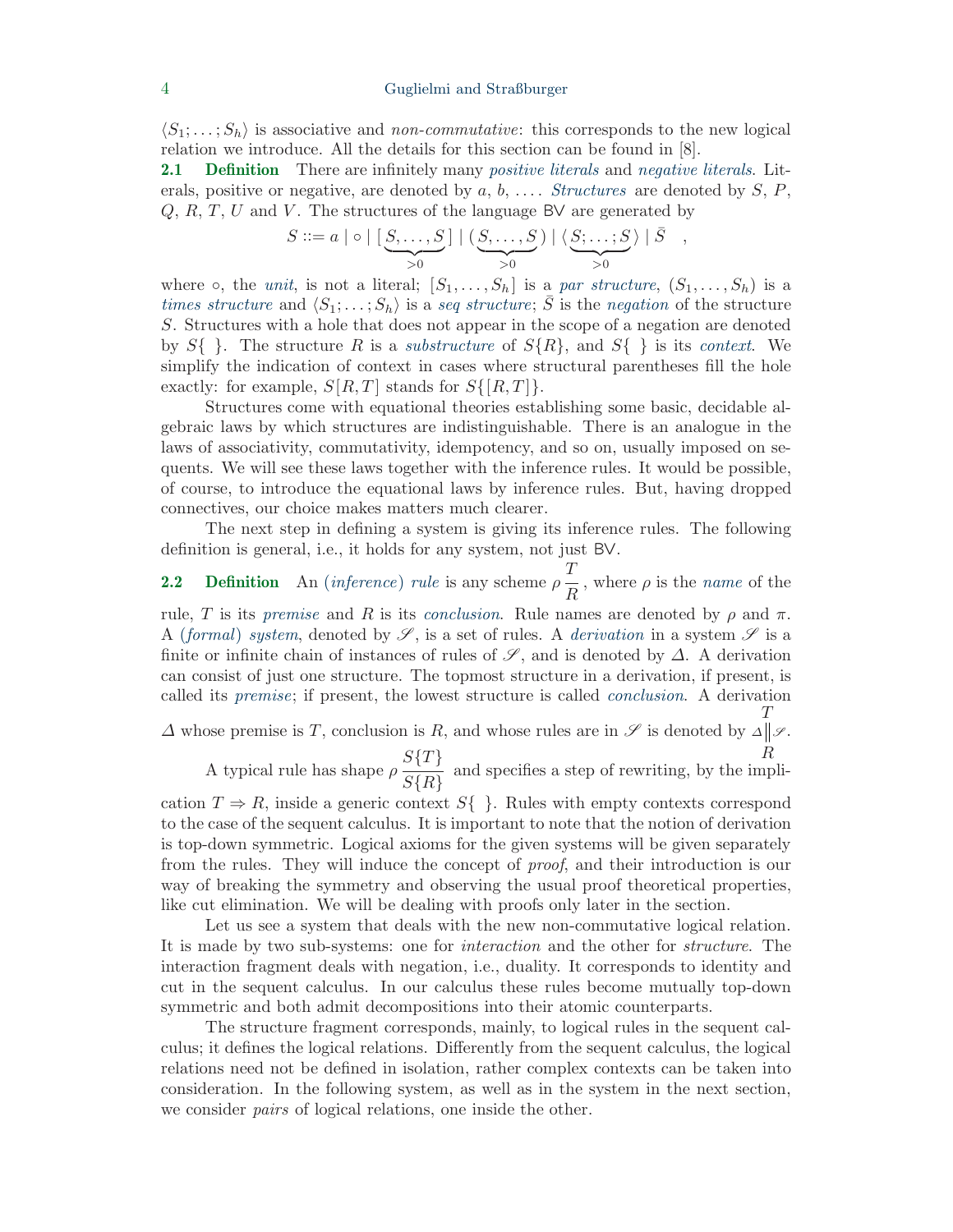$\langle S_1; \ldots; S_h \rangle$  is associative and non-commutative: this corresponds to the new logical relation we introduce. All the details for this section can be found in [8].

**2.1 Definition** There are infinitely many *positive literals* and *negative literals*. Literals, positive or negative, are denoted by a, b,  $\dots$ . Structures are denoted by S, P,  $Q, R, T, U$  and V. The structures of the language BV are generated by

$$
S ::= a \mid \circ \mid \left[\underbrace{S, \ldots, S}_{>0}\right] \mid (\underbrace{S, \ldots, S}_{>0}) \mid \langle \underbrace{S; \ldots; S}_{>0} \rangle \mid \overline{S} ,
$$

where  $\circ$ , the *unit*, is not a literal;  $[S_1, \ldots, S_h]$  is a par structure,  $(S_1, \ldots, S_h)$  is a times structure and  $\langle S_1; \ldots; S_h \rangle$  is a seq structure;  $\overline{S}$  is the negation of the structure S. Structures with a hole that does not appear in the scope of a negation are denoted by  $S\{\}\.$  The structure R is a *substructure* of  $S\{R\}$ , and  $S\{\.\}$  is its *context*. We simplify the indication of context in cases where structural parentheses fill the hole exactly: for example,  $S[R, T]$  stands for  $S\{[R, T]\}.$ 

Structures come with equational theories establishing some basic, decidable algebraic laws by which structures are indistinguishable. There is an analogue in the laws of associativity, commutativity, idempotency, and so on, usually imposed on sequents. We will see these laws together with the inference rules. It would be possible, of course, to introduce the equational laws by inference rules. But, having dropped connectives, our choice makes matters much clearer.

The next step in defining a system is giving its inference rules. The following definition is general, i.e., it holds for any system, not just BV .

**2.2 Definition** An (inference) rule is any scheme T  $\rho \frac{\overline{R}}{R}$ , where  $\rho$  is the *name* of the

rule, T is its premise and R is its conclusion. Rule names are denoted by  $\rho$  and  $\pi$ . A (formal) system, denoted by  $\mathscr S$ , is a set of rules. A derivation in a system  $\mathscr S$  is a finite or infinite chain of instances of rules of  $\mathscr{S}$ , and is denoted by  $\Delta$ . A derivation can consist of just one structure. The topmost structure in a derivation, if present, is called its premise; if present, the lowest structure is called conclusion. A derivation

 $\Delta$  whose premise is T, conclusion is R, and whose rules are in  $\mathscr S$  is denoted by  $\mathcal{I}$ R  $\Delta$   $\mathscr{S}.$ 

A typical rule has shape  $S\{T\}$  $\rho \frac{\partial (S)}{\partial S \{R\}}$  and specifies a step of rewriting, by the impli-

cation  $T \Rightarrow R$ , inside a generic context  $S\{\}\.$  Rules with empty contexts correspond to the case of the sequent calculus. It is important to note that the notion of derivation is top-down symmetric. Logical axioms for the given systems will be given separately from the rules. They will induce the concept of proof, and their introduction is our way of breaking the symmetry and observing the usual proof theoretical properties, like cut elimination. We will be dealing with proofs only later in the section.

Let us see a system that deals with the new non-commutative logical relation. It is made by two sub-systems: one for interaction and the other for structure. The interaction fragment deals with negation, i.e., duality. It corresponds to identity and cut in the sequent calculus. In our calculus these rules become mutually top-down symmetric and both admit decompositions into their atomic counterparts.

The structure fragment corresponds, mainly, to logical rules in the sequent calculus; it defines the logical relations. Differently from the sequent calculus, the logical relations need not be defined in isolation, rather complex contexts can be taken into consideration. In the following system, as well as in the system in the next section, we consider *pairs* of logical relations, one inside the other.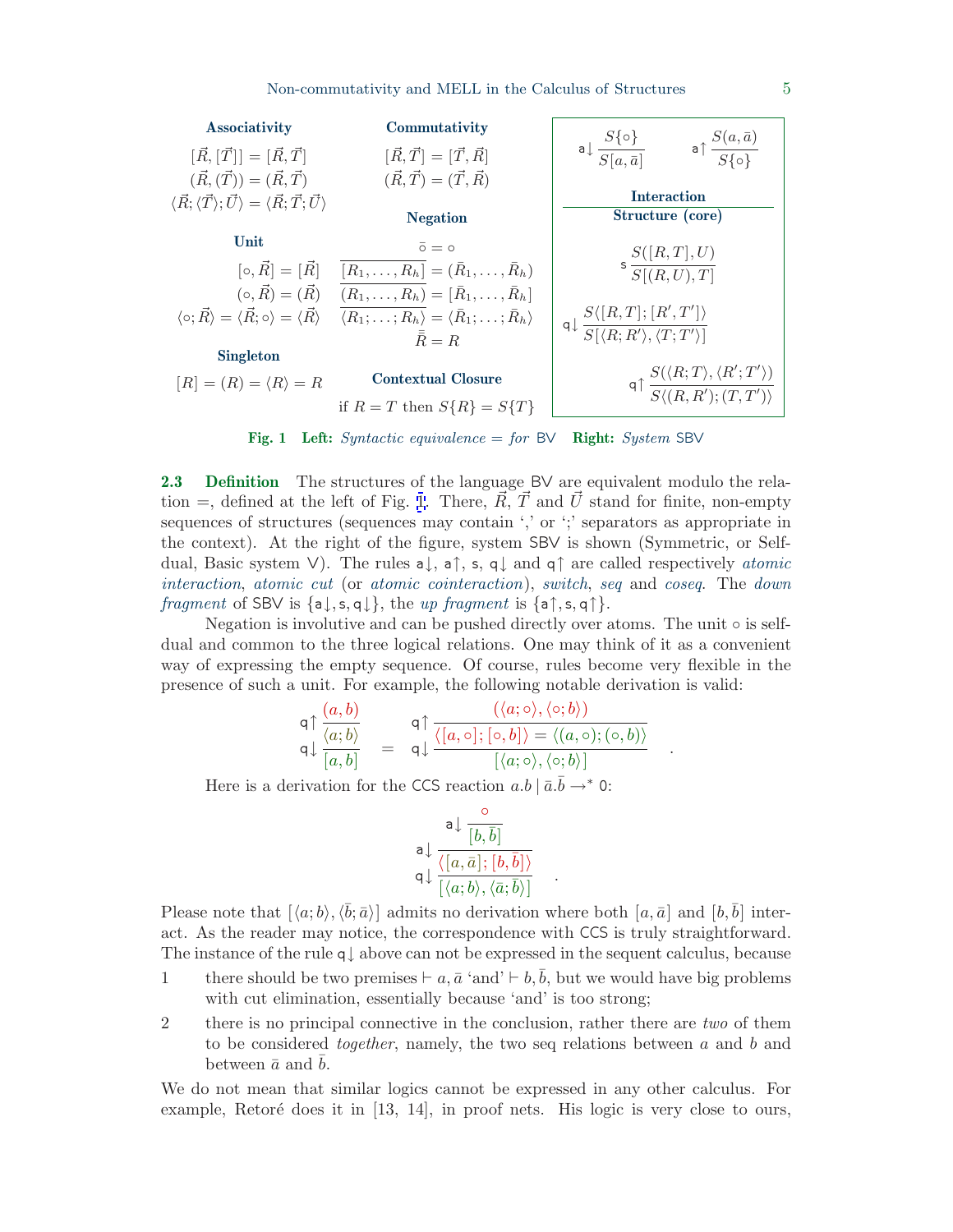

**Fig. 1 Left:** Syntactic equivalence = for BV **Right:** System SBV

**2.3 Definition** The structures of the language BV are equivalent modulo the relation =, defined at the left of Fig. 1. There,  $\vec{R}$ ,  $\vec{T}$  and  $\vec{U}$  stand for finite, non-empty sequences of structures (sequences may contain ',' or ';' separators as appropriate in the context). At the right of the figure, system SBV is shown (Symmetric, or Selfdual, Basic system V). The rules  $a\downarrow$ ,  $a\uparrow$ , s,  $q\downarrow$  and  $q\uparrow$  are called respectively *atomic* interaction, atomic cut (or atomic cointeraction), switch, seq and coseq. The down fragment of SBV is  $\{a\}, s, q\}$ , the up fragment is  $\{a\}$ , s,  $q\}$ .

Negation is involutive and can be pushed directly over atoms. The unit  $\circ$  is selfdual and common to the three logical relations. One may think of it as a convenient way of expressing the empty sequence. Of course, rules become very flexible in the presence of such a unit. For example, the following notable derivation is valid:

$$
\mathsf{q} \uparrow \frac{(a,b)}{\langle a;b \rangle} = \mathsf{q} \uparrow \frac{(\langle a; \circ \rangle, \langle \circ; b \rangle)}{\langle [a,b] \rangle} = \mathsf{q} \downarrow \frac{\langle [a, \circ], [\circ, b] \rangle = \langle (a, \circ); (\circ, b) \rangle}{[\langle a; \circ \rangle, \langle \circ; b \rangle]}.
$$

Here is a derivation for the CCS reaction  $a.b | \bar{a}.\bar{b} \rightarrow^* 0$ :

$$
\mathsf{a} \downarrow \frac{\mathsf{a} \downarrow \frac{\circ}{[b,\overline{b}]}}{\langle [a,\overline{a}]; [b,\overline{b}] \rangle} \qquad \qquad \mathsf{q} \downarrow \frac{\langle [a,\overline{a}]; [b,\overline{b}] \rangle}{\langle \langle a;b \rangle, \langle \overline{a}; \overline{b} \rangle|} \qquad \qquad \mathsf{q} \downarrow \frac{\langle \overline{a}; b \rangle}{\langle \langle a;b \rangle, \langle \overline{a}; \overline{b} \rangle|}.
$$

Please note that  $[\langle a; b \rangle, \langle \overline{b}; \overline{a} \rangle]$  admits no derivation where both  $[a, \overline{a}]$  and  $[b, \overline{b}]$  interact. As the reader may notice, the correspondence with CCS is truly straightforward. The instance of the rule q↓ above can not be expressed in the sequent calculus, because

- 1 there should be two premises  $\vdash a, \bar{a}$  'and'  $\vdash b, \bar{b}$ , but we would have big problems with cut elimination, essentially because 'and' is too strong;
- 2 there is no principal connective in the conclusion, rather there are two of them to be considered *together*, namely, the two seq relations between  $a$  and  $b$  and between  $\bar{a}$  and  $b$ .

We do not mean that similar logics cannot be expressed in any other calculus. For example, Retoré does it in  $[13, 14]$ , in proof nets. His logic is very close to ours,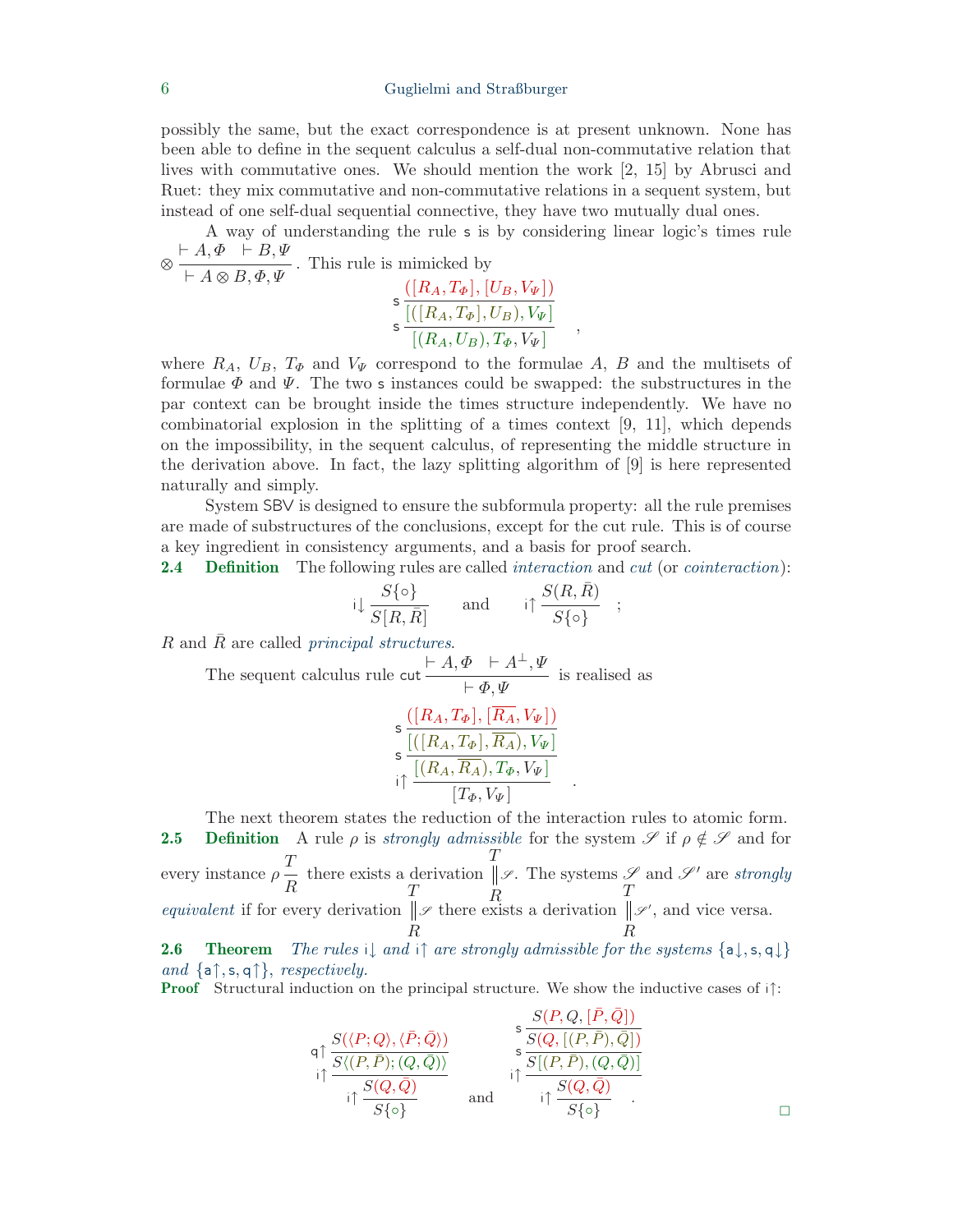<span id="page-5-0"></span>possibly the same, but the exact correspondence is at present unknown. None has been able to define in the sequent calculus a self-dual non-commutative relation that lives with commutative ones. We should mention the work [2, 15] by Abrusci and Ruet: they mix commutative and non-commutative relations in a sequent system, but instead of one self-dual sequential connective, they have two mutually dual ones.

A way of understanding the rule s is by considering linear logic's times rule

$$
\otimes \frac{\vdash A, \Phi \vdash B, \Psi}{\vdash A \otimes B, \Phi, \Psi}.
$$
 This rule is mimicked by  

$$
\leq \frac{([R_A, T_{\Phi}], [U_B, V_{\Psi}])}{\leq \frac{[(R_A, T_{\Phi}], U_B), V_{\Psi}]}{[(R_A, U_B), T_{\Phi}, V_{\Psi}]}},
$$

where  $R_A$ ,  $U_B$ ,  $T_{\Phi}$  and  $V_{\Psi}$  correspond to the formulae A, B and the multisets of formulae  $\Phi$  and  $\Psi$ . The two s instances could be swapped: the substructures in the par context can be brought inside the times structure independently. We have no combinatorial explosion in the splitting of a times context [9, 11], which depends on the impossibility, in the sequent calculus, of representing the middle structure in the derivation above. In fact, the lazy splitting algorithm of [9] is here represented naturally and simply.

System SBV is designed to ensure the subformula property: all the rule premises are made of substructures of the conclusions, except for the cut rule. This is of course a key ingredient in consistency arguments, and a basis for proof search.

**2.4 Definition** The following rules are called *interaction* and *cut* (or *cointeraction*):

$$
\mathsf{i}\!\downarrow \frac{S\{\mathsf{o}\}}{S[R,\bar{R}]} \qquad\text{and}\qquad \mathsf{i}\!\uparrow \frac{S(R,\bar{R})}{S\{\mathsf{o}\}}\quad;
$$

R and  $\bar{R}$  are called *principal structures*.

The sequent calculus rule  $\vdash A, \varPhi \vdash A^{\perp}, \varPsi$ cut  $\vdash \varPhi , \varPsi$ is realised as

$$
\frac{\mathsf{s}\left(\left[R_A, T_{\Phi}\right], \left[\overline{R_A}, V_{\Psi}\right]\right)}{\mathsf{s}\left(\left(\left[R_A, T_{\Phi}\right], \overline{R_A}\right), V_{\Psi}\right)}\n{\mathsf{s}\left(\frac{\left(\left[R_A, \overline{R_A}\right), T_{\Phi}, V_{\Psi}\right]}{\left[T_{\Phi}, V_{\Psi}\right]}\right)}.
$$

The next theorem states the reduction of the interaction rules to atomic form. **2.5 Definition** A rule  $\rho$  is *strongly admissible* for the system  $\mathscr{S}$  if  $\rho \notin \mathscr{S}$  and for every instance T  $\rho \frac{\ }{R}$  there exists a derivation T R  $\mathscr{S}$ . The systems  $\mathscr{S}$  and  $\mathscr{S}'$  are strongly equivalent if for every derivation  $\mathcal I$ R  ${\mathcal{S}}$  there exists a derivation  $\mathcal I$ R  $\mathscr{S}'$ , and vice versa.

**2.6 Theorem** The rules i $\downarrow$  and i $\uparrow$  are strongly admissible for the systems  $\{a\downarrow, s, q\downarrow\}$ and  $\{a\uparrow,s,q\uparrow\}$ , respectively.

**Proof** Structural induction on the principal structure. We show the inductive cases of i↑:

$$
\begin{array}{ccc}\n\text{q} \uparrow \frac{S(\langle P; Q \rangle, \langle \bar{P}; \bar{Q} \rangle)}{S(\langle P, \bar{P} \rangle; (Q, \bar{Q}))} & & \text{s} \frac{S(P, Q, [\bar{P}, \bar{Q}])}{S(Q, [(\bar{P}, \bar{P}), \bar{Q}])} \\
\text{i} \uparrow \frac{S(Q, \bar{Q})}{S\{\circ\}} & & \text{and} & \text{i} \uparrow \frac{S(Q, \bar{Q})}{S\{\circ\}} \\
\text{and} & & \text{i} \uparrow \frac{S(Q, \bar{Q})}{S\{\circ\}} \\
\end{array}
$$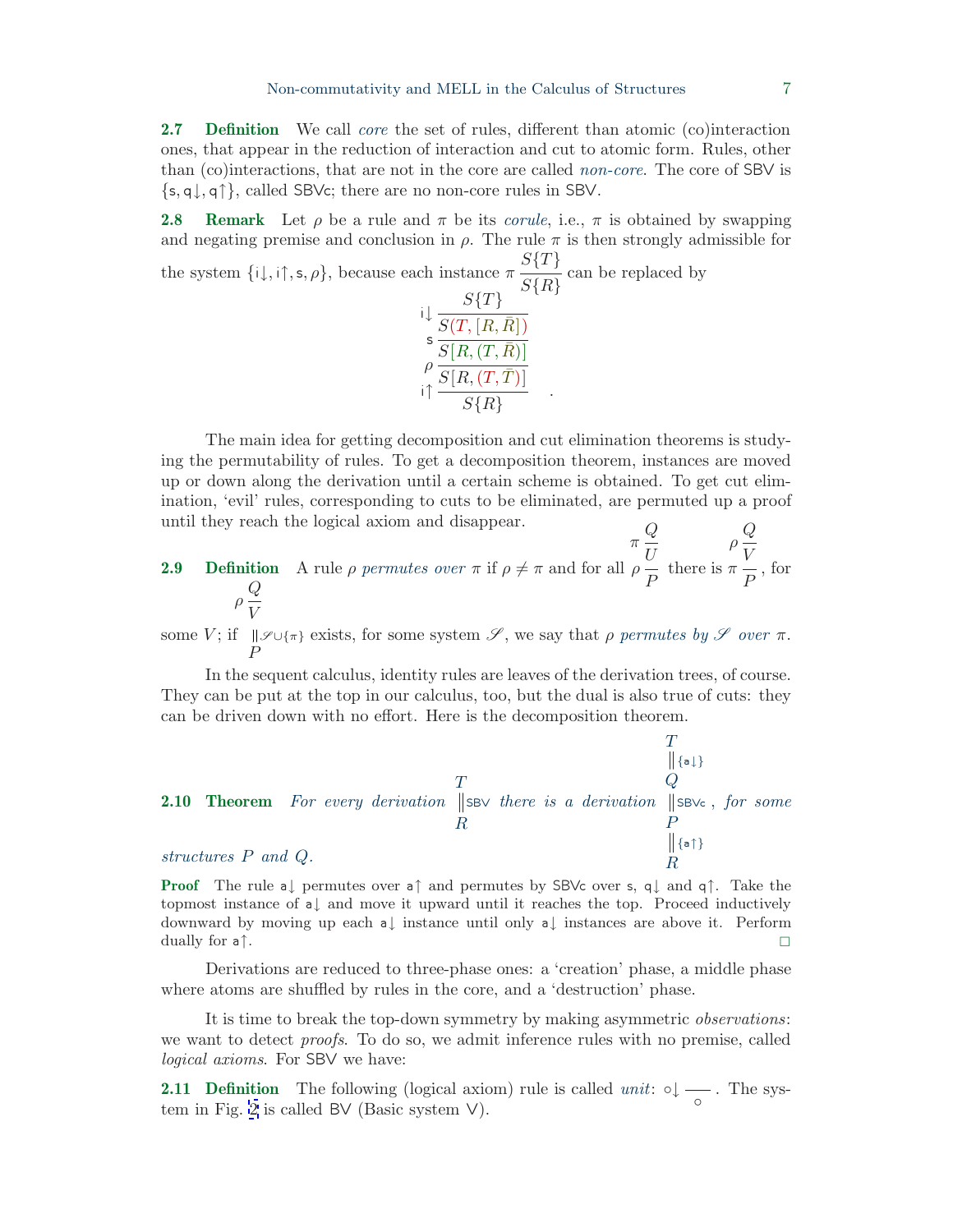<span id="page-6-0"></span>**2.7 Definition** We call *core* the set of rules, different than atomic (co)interaction ones, that appear in the reduction of interaction and cut to atomic form. Rules, other than (co)interactions, that are not in the core are called non-core. The core of SBV is  $\{s, q\}, q\uparrow\}$ , called SBVc; there are no non-core rules in SBV.

**2.8 Remark** Let  $\rho$  be a rule and  $\pi$  be its *corule*, i.e.,  $\pi$  is obtained by swapping and negating premise and conclusion in  $\rho$ . The rule  $\pi$  is then strongly admissible for the system  $\{i\downarrow, i\uparrow, s, \rho\}$ , because each instance  $S\{T\}$  $\pi \frac{\sqrt{e-1}}{S\{R\}}$  can be replaced by

$$
\begin{array}{c}\n\downarrow \frac{S\{T\}}{S(T,[R,\bar{R}])} \\
\circ \frac{S[R,(T,\bar{R})]}{S[R,(T,\bar{T})]} \\
\downarrow \uparrow \frac{S[R,(T,\bar{T})]}{S\{R\}}\n\end{array}.
$$

The main idea for getting decomposition and cut elimination theorems is studying the permutability of rules. To get a decomposition theorem, instances are moved up or down along the derivation until a certain scheme is obtained. To get cut elimination, 'evil' rules, corresponding to cuts to be eliminated, are permuted up a proof until they reach the logical axiom and disappear.  $\,Q$  $\,Q$ 

**2.9 Definition** A rule  $\rho$  permutes over  $\pi$  if  $\rho \neq \pi$  and for all π  $\mathcal{U}$  $\rho \frac{P}{P}$  there is  $\rho \frac{q}{V}$ ition A rule  $\rho$  permutes over  $\pi$  if  $\rho \neq \pi$  and for all  $\rho \stackrel{\sim}{\overline{P}}$  there is  $\pi \stackrel{\sim}{\overline{P}}$ , for  $Q$  $\rho \frac{q}{V}$ 

some  $V$ ; if P  $\mathscr{S} \cup {\{\pi\}}$  exists, for some system  $\mathscr{S}$ , we say that  $\rho$  permutes by  $\mathscr{S}$  over  $\pi$ .

In the sequent calculus, identity rules are leaves of the derivation trees, of course. They can be put at the top in our calculus, too, but the dual is also true of cuts: they can be driven down with no effort. Here is the decomposition theorem.

**2.10 Theorem** For every derivation  $\overline{T}$ R SBV there is a derivation  $\overline{T}$  $\overline{Q}$ {a↓} P <code>sBv</code>c ,  $\emph{for some}$ R  $\left\| \{\mathtt{a}\uparrow\} \right\|$ structures P and Q.

**Proof** The rule a↓ permutes over a↑ and permutes by SBVc over s, q↓ and q↑. Take the topmost instance of a↓ and move it upward until it reaches the top. Proceed inductively downward by moving up each a↓ instance until only a↓ instances are above it. Perform dually for  $a \uparrow$ . □

Derivations are reduced to three-phase ones: a 'creation' phase, a middle phase where atoms are shuffled by rules in the core, and a 'destruction' phase.

It is time to break the top-down symmetry by making asymmetric observations: we want to detect *proofs*. To do so, we admit inference rules with no premise, called logical axioms. For SBV we have:

**2.11 Definition** The following (logical axiom) rule is called unit:  $\circ \downarrow \frac{\ }{\circ}$ . The sys-tem in Fig. [2](#page-7-0) is called BV (Basic system  $\vee$ ).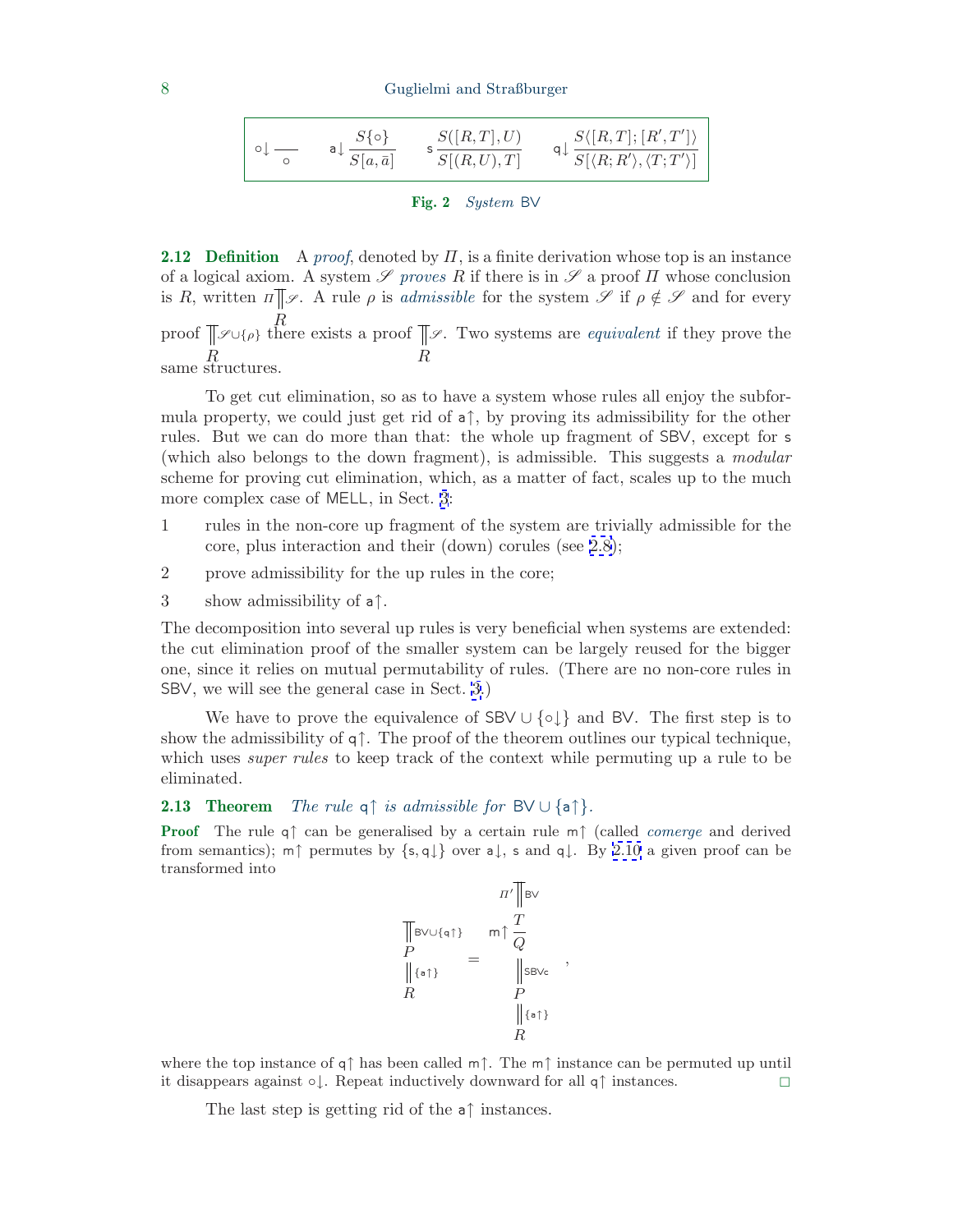<span id="page-7-0"></span>
$$
\circ \downarrow \frac{S\{\circ\}}{\circ} \quad \text{a} \downarrow \frac{S\{\circ\}}{S[a,\bar{a}]} \quad \text{s} \frac{S([R,T],U)}{S[(R,U),T]} \quad \text{q} \downarrow \frac{S\langle [R,T];[R',T']\rangle}{S[\langle R;R'\rangle,\langle T;T'\rangle]}
$$

**Fig. 2** System BV

**2.12 Definition** A proof, denoted by Π, is a finite derivation whose top is an instance of a logical axiom. A system  $\mathscr S$  proves R if there is in  $\mathscr S$  a proof  $\Pi$  whose conclusion is R, written  $\pi$   $\sim$  A rule  $\rho$  is admissible for the system  $\mathscr S$  if  $\rho \notin \mathscr S$  and for every R proof  $\mathbb{Z}_{\cup \{\rho\}}$  there exists a proof R same structures. R  $\mathscr{S}$ . Two systems are *equivalent* if they prove the

To get cut elimination, so as to have a system whose rules all enjoy the subformula property, we could just get rid of  $a \uparrow$ , by proving its admissibility for the other rules. But we can do more than that: the whole up fragment of SBV , except for s (which also belongs to the down fragment), is admissible. This suggests a modular scheme for proving cut elimination, which, as a matter of fact, scales up to the much more complex case of MELL, in Sect. [3](#page-8-0):

- 1 rules in the non-core up fragment of the system are trivially admissible for the core, plus interaction and their (down) corules (see [2.8\)](#page-6-0);
- 2 prove admissibility for the up rules in the core;
- 3 show admissibility of a↑.

The decomposition into several up rules is very beneficial when systems are extended: the cut elimination proof of the smaller system can be largely reused for the bigger one, since it relies on mutual permutability of rules. (There are no non-core rules in SBV, we will see the general case in Sect. [3.](#page-8-0))

We have to prove the equivalence of SBV  $\cup$  {∘↓} and BV. The first step is to show the admissibility of  $\phi$ . The proof of the theorem outlines our typical technique, which uses *super rules* to keep track of the context while permuting up a rule to be eliminated.

## **2.13 Theorem** The rule  $q \uparrow$  is admissible for BV  $\cup$  {a $\uparrow$ }.

**Proof** The rule q↑ can be generalised by a certain rule m↑ (called comerge and derived from semantics); m↑ permutes by  $\{s, q\}$  over  $a\downarrow$ , s and  $q\downarrow$ . By [2.10](#page-6-0) a given proof can be transformed into

$$
I\prime \begin{bmatrix} \mathsf{BV} & \mathsf{BV} \\ \mathsf{BV} & \mathsf{H} \mathsf{H} \end{bmatrix} = \begin{bmatrix} \mathsf{BV} & \mathsf{H} \\ \mathsf{H} \\ \mathsf{H} \\ \mathsf{H} \\ \mathsf{H} \\ \mathsf{H} \end{bmatrix} = \begin{bmatrix} \mathsf{H} \\ \mathsf{H} \\ \mathsf{H} \\ \mathsf{H} \\ \mathsf{H} \\ \mathsf{H} \end{bmatrix}.
$$

where the top instance of q↑ has been called m↑. The m↑ instance can be permuted up until it disappears against  $\circ \downarrow$ . Repeat inductively downward for all  $\circ \uparrow$  instances.

The last step is getting rid of the a↑ instances.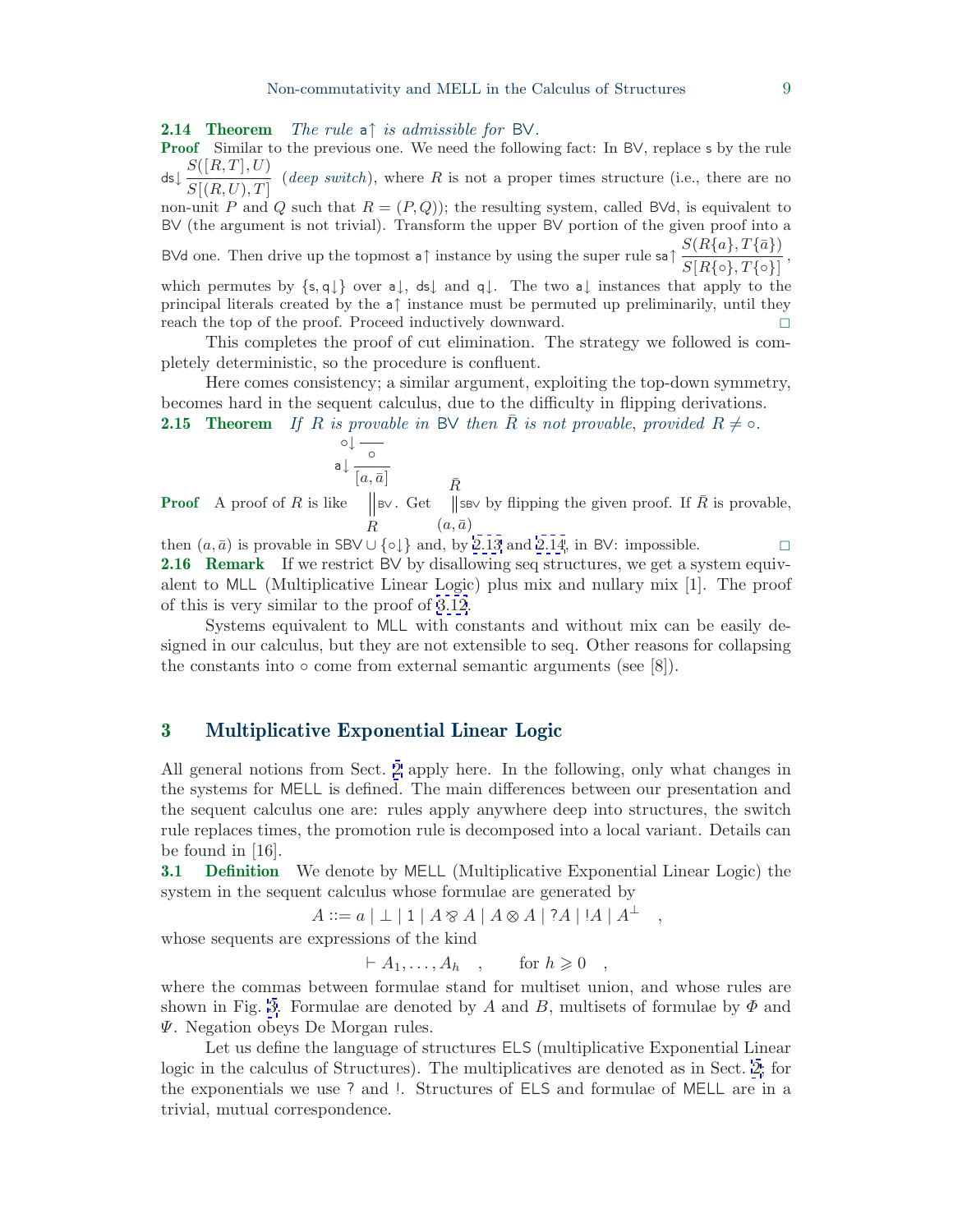<span id="page-8-0"></span>**2.14 Theorem** The rule a↑ is admissible for BV .

**Proof** Similar to the previous one. We need the following fact: In BV, replace s by the rule

 $\text{ds}\downarrow \frac{S([R,T],U)}{S[(R,U),T]}$  (deep switch), where R is not a proper times structure (i.e., there are no

non-unit P and Q such that  $R = (P, Q)$ ; the resulting system, called BVd, is equivalent to BV (the argument is not trivial). Transform the upper BV portion of the given proof into a

BVd one. Then drive up the topmost a $\uparrow$  instance by using the super rule sa $\uparrow \frac{S(R{a}, T{\bar{a}})}{S[R{\circ}, T{\circ}]}$ ,

which permutes by  $\{s, q\}$  over  $a\downarrow$ ,  $ds\downarrow$  and  $q\downarrow$ . The two  $a\downarrow$  instances that apply to the principal literals created by the a↑ instance must be permuted up preliminarily, until they reach the top of the proof. Proceed inductively downward.  $\Box$ 

This completes the proof of cut elimination. The strategy we followed is completely deterministic, so the procedure is confluent.

Here comes consistency; a similar argument, exploiting the top-down symmetry, becomes hard in the sequent calculus, due to the difficulty in flipping derivations.

**2.15 Theorem** If R is provable in BV then R is not provable, provided  $R \neq \infty$ .

$$
\circ \downarrow \frac{\circ}{\circ}
$$
\n
$$
\mathsf{a} \downarrow \frac{\circ}{[a,\bar{a}]}
$$

**Proof** A proof of R is like R BV . Get  $\bar{R}$  $(a, \bar{a})$ SBV by flipping the given proof. If  $\bar{R}$  is provable,

then  $(a, \bar{a})$  is provable in SBV ∪ {∘↓} and, by [2.13](#page-7-0) and 2.14, in BV: impossible.  $\Box$ **2.16 Remark** If we restrict BV by disallowing seq structures, we get a system equivalent to MLL (Multiplicative Linear Logic) plus mix and nullary mix [1]. The proof of this is very similar to the proof of [3.12](#page-11-0).

Systems equivalent to MLL with constants and without mix can be easily designed in our calculus, but they are not extensible to seq. Other reasons for collapsing the constants into  $\circ$  come from external semantic arguments (see [8]).

# **3 Multiplicative Exponential Linear Logic**

All general notions from Sect. [2](#page-2-0) apply here. In the following, only what changes in the systems for MELL is defined. The main differences between our presentation and the sequent calculus one are: rules apply anywhere deep into structures, the switch rule replaces times, the promotion rule is decomposed into a local variant. Details can be found in [16].

**3.1 Definition** We denote by MELL (Multiplicative Exponential Linear Logic) the system in the sequent calculus whose formulae are generated by

 $A ::= a \mid \perp \mid 1 \mid A \otimes A \mid A \otimes A \mid ?A \mid A \mid A^{\perp}$ 

whose sequents are expressions of the kind

 $A_1, \ldots, A_h$ , for  $h \geqslant 0$ ,

where the commas between formulae stand for multiset union, and whose rules are shown in Fig. [3.](#page-9-0) Formulae are denoted by A and B, multisets of formulae by  $\Phi$  and  $\Psi$ . Negation obeys De Morgan rules.

Let us define the language of structures ELS (multiplicative Exponential Linear logic in the calculus of Structures). The multiplicatives are denoted as in Sect. [2;](#page-2-0) for the exponentials we use ? and !. Structures of ELS and formulae of MELL are in a trivial, mutual correspondence.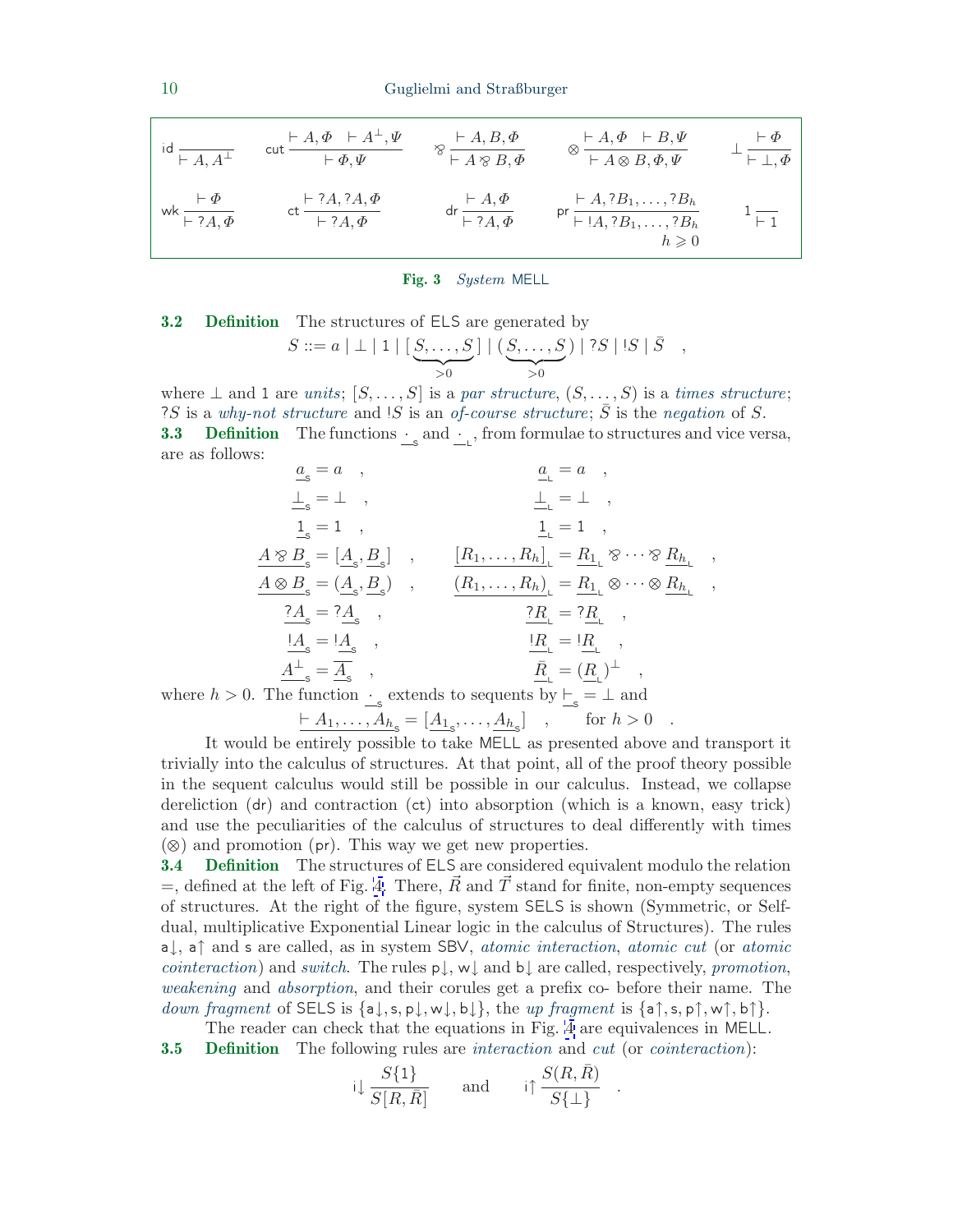<span id="page-9-0"></span>
$$
\begin{array}{|c|c|c|c|c|} \hline \mbox{\scriptsize id}\\ \hline \mbox{\scriptsize int}\\ \hline \mbox{\scriptsize int}\\ \hline \mbox{\scriptsize int}\\ \hline \mbox{\scriptsize int}\\ \hline \mbox{\scriptsize int}\\ \hline \mbox{\scriptsize int}\\ \hline \mbox{\scriptsize int}\\ \hline \mbox{\scriptsize int}\\ \hline \mbox{\scriptsize int}\\ \hline \mbox{\scriptsize int}\\ \hline \mbox{\scriptsize int}\\ \hline \mbox{\scriptsize int}\\ \hline \mbox{\scriptsize int}\\ \hline \mbox{\scriptsize int}\\ \hline \mbox{\scriptsize int}\\ \hline \mbox{\scriptsize int}\\ \hline \mbox{\scriptsize int}\\ \hline \mbox{\scriptsize int}\\ \hline \mbox{\scriptsize int}\\ \hline \mbox{\scriptsize int}\\ \hline \mbox{\scriptsize int}\\ \hline \mbox{\scriptsize int}\\ \hline \mbox{\scriptsize int}\\ \hline \mbox{\scriptsize int}\\ \hline \mbox{\scriptsize int}\\ \hline \mbox{\scriptsize int}\\ \hline \mbox{\scriptsize int}\\ \hline \mbox{\scriptsize int}\\ \hline \mbox{\scriptsize int}\\ \hline \mbox{\scriptsize int}\\ \hline \mbox{\scriptsize int}\\ \hline \mbox{\scriptsize int}\\ \hline \mbox{\scriptsize int}\\ \hline \mbox{\scriptsize int}\\ \hline \mbox{\scriptsize int}\\ \hline \mbox{\scriptsize int}\\ \hline \mbox{\scriptsize int}\\ \hline \mbox{\scriptsize int}\\ \hline \mbox{\scriptsize int}\\ \hline \mbox{\scriptsize int}\\ \hline \mbox{\scriptsize int}\\ \hline \mbox{\scriptsize int}\\ \hline \mbox{\scriptsize int}\\ \hline \mbox{\scriptsize int}\\ \hline \mbox{\scriptsize int}\\ \hline \mbox{\scriptsize int}\\ \hline \mbox{\scriptsize int}\\ \hline \mbox{\scriptsize int}\\ \hline \mbox{\scriptsize int}\\ \hline \mbox{\scriptsize int}\\ \hline \mbox{\scriptsize int}\\ \hline \mbox{\scriptsize int}\\ \hline \mbox{\scriptsize int}\\ \hline \mbox{\scriptsize int}\\ \hline \mbox{\scriptsize int}\\ \hline \mbox{\scriptsize int}\\ \hline \mbox{\scriptsize int}\\ \hline \mbox{\scriptsize int}\\ \hline \mbox{\scriptsize int}\\ \hline \mbox{\scriptsize int}\\ \hline \mbox{\scriptsize int}\\ \hline \mbox{\scriptsize int}\\ \hline \mbox{\scriptsize int}\\ \hline \mbox{\scriptsize int}\\ \hline \mbox{\scriptsize int}\\ \hline \mbox{\scriptsize int}\\ \hline \mbox
$$

#### **Fig. 3** System MELL

# **3.2 Definition** The structures of ELS are generated by  $(1)$  |  $20$  |  $(1)$   $\overline{0}$

$$
S ::= a | \perp | 1 | [S, ..., S] | (S, ..., S) | ?S | S | S ,
$$

where  $\perp$  and 1 are units;  $[S, \ldots, S]$  is a par structure,  $(S, \ldots, S)$  is a times structure; ?S is a why-not structure and  $|S|$  is an of-course structure;  $\overline{S}$  is the negation of S. **3.3** Definition The functions  $\frac{1}{s}$  and  $\frac{1}{s}$ , from formulae to structures and vice versa, are as follows:

$$
\begin{array}{cccc}\n\underline{a}_{\mathsf{s}} = a & , & \underline{a}_{\mathsf{L}} = a & , \\
\underline{\bot}_{\mathsf{s}} = \bot & , & \underline{\bot}_{\mathsf{L}} = \bot & , \\
\underline{1}_{\mathsf{s}} = 1 & , & \underline{1}_{\mathsf{L}} = 1 & , \\
\underline{A} \otimes B_{\mathsf{s}} = [\underline{A}_{\mathsf{s}}, \underline{B}_{\mathsf{s}}] & , & [\underline{R}_{1}, \ldots, R_{h}]_{\mathsf{L}} = \underline{R}_{1_{\mathsf{L}}} \otimes \cdots \otimes \underline{R}_{h_{\mathsf{L}}} & , \\
\underline{A} \otimes B_{\mathsf{s}} = (\underline{A}_{\mathsf{s}}, \underline{B}_{\mathsf{s}}) & , & \underline{(R_{1}, \ldots, R_{h})_{\mathsf{L}}} = \underline{R}_{1_{\mathsf{L}}} \otimes \cdots \otimes \underline{R}_{h_{\mathsf{L}}} & , \\
\underline{A}_{\mathsf{s}} = \frac{7A}{1_{\mathsf{s}}} & , & \underline{R}_{\mathsf{L}} = \frac{7B}{1_{\mathsf{L}}} & , \\
\underline{A}_{\mathsf{s}} = \underline{I}_{\mathsf{s}} & , & \underline{R}_{\mathsf{L}} = \underline{I}_{\mathsf{L}} & , \\
\underline{A}_{\mathsf{s}}^{\perp} = \underline{I}_{\mathsf{s}}^{\perp} & , & \underline{R}_{\mathsf{L}} = [\underline{R}_{\mathsf{L}} & , \\
\underline{A}_{\mathsf{s}}^{\perp} = \underline{A}_{\mathsf{s}}^{\perp} & , & \underline{R}_{\mathsf{L}} = (\underline{R}_{\mathsf{L}})^{\perp} & , \\
\end{array}
$$
\nwhere  $h > 0$ . The function  $\underline{\cdot}_{\mathsf{s}}$  extends to sequents by  $\underline{\vdash}_{\mathsf{s}} = \bot$  and

 $A_1, \ldots, A_{h_s} = [A_1, \ldots, A_{h_s}]$ , for  $h > 0$ .

It would be entirely possible to take MELL as presented above and transport it trivially into the calculus of structures. At that point, all of the proof theory possible in the sequent calculus would still be possible in our calculus. Instead, we collapse dereliction (dr) and contraction (ct) into absorption (which is a known, easy trick) and use the peculiarities of the calculus of structures to deal differently with times  $(\otimes)$  and promotion (pr). This way we get new properties.

**3.4 Definition** The structures of ELS are considered equivalent modulo the relation =, defined at the left of Fig. [4.](#page-10-0) There,  $\vec{R}$  and  $\vec{T}$  stand for finite, non-empty sequences of structures. At the right of the figure, system SELS is shown (Symmetric, or Selfdual, multiplicative Exponential Linear logic in the calculus of Structures). The rules a↓, a↑ and s are called, as in system SBV , atomic interaction, atomic cut (or atomic cointeraction) and switch. The rules  $p\downarrow, w\downarrow$  and  $b\downarrow$  are called, respectively, promotion, weakening and absorption, and their corules get a prefix co- before their name. The down fragment of SELS is  $\{a\}, s, p\}, \mathsf{w}\}, \mathsf{b}\}$ , the up fragment is  $\{\mathsf{a}\uparrow, \mathsf{s}, \mathsf{p}\uparrow, \mathsf{w}\uparrow, \mathsf{b}\uparrow\}.$ 

The reader can check that the equations in Fig. [4](#page-10-0) are equivalences in MELL. **3.5 Definition** The following rules are interaction and cut (or cointeraction):

$$
\mathrm{i} \!\downarrow \frac{S\{1\}}{S[R,\bar{R}]} \qquad\mathrm{and}\qquad \mathrm{i} \!\uparrow \frac{S(R,\bar{R})}{S\{\bot\}}\quad.
$$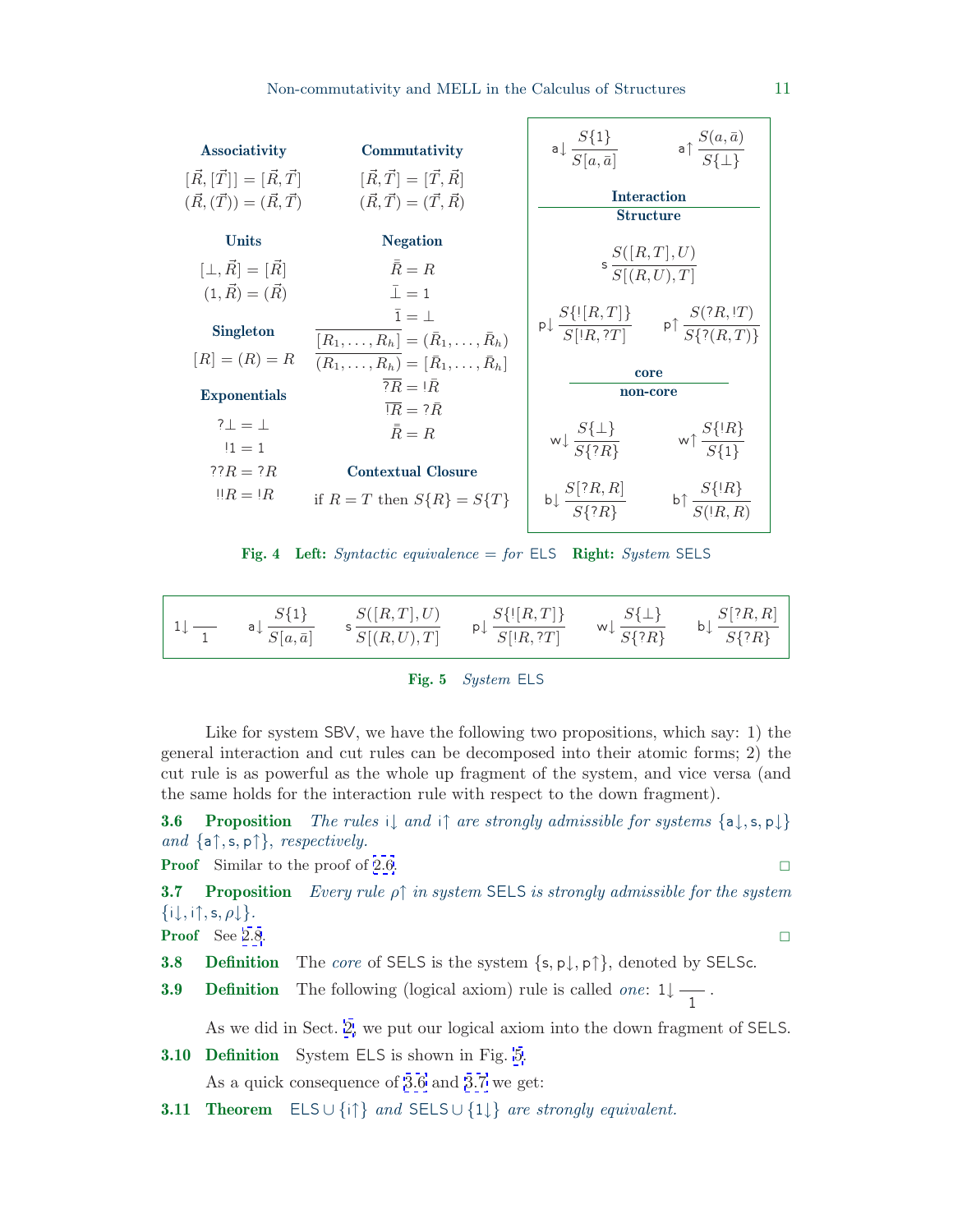<span id="page-10-0"></span>

| Associativity                                                                              | Commutativity                                                                                                                                   | $a \downarrow \frac{S\{1\}}{S[a,\bar{a}]}$ | a $\uparrow \frac{S(a,\bar{a})}{S\{\bot\}}$                                          |
|--------------------------------------------------------------------------------------------|-------------------------------------------------------------------------------------------------------------------------------------------------|--------------------------------------------|--------------------------------------------------------------------------------------|
| $[\vec{R}, [\vec{T}]] = [\vec{R}, \vec{T}]$<br>$(\vec{R}, (\vec{T})) = (\vec{R}, \vec{T})$ | $[\vec{R}, \vec{T}] = [\vec{T}, \vec{R}]$<br>$(\vec{R}, \vec{T}) = (\vec{T}, \vec{R})$                                                          | <b>Interaction</b><br><b>Structure</b>     |                                                                                      |
| <b>Units</b><br>$[\perp,\vec{R}] = [\vec{R}]$<br>$(1,\vec{R}) = (\vec{R})$                 | <b>Negation</b><br>$\bar{\bar{R}}=R$<br>$\bar{\perp} = 1$                                                                                       | $s\frac{S([R,T],U)}{S[(R,U),T]}$           |                                                                                      |
| Singleton                                                                                  | $\overline{1}$ = $\overline{1}$<br>$\overline{[R_1, , R_h]} = (\bar{R}_1, , \bar{R}_h)$<br>$\overline{(R_1, , R_h)} = [\bar{R}_1, , \bar{R}_h]$ |                                            | $p \downarrow \frac{S\{![R,T]\}}{S[ R,T]}$ $p \uparrow \frac{S\{?R,!T\}}{S\{?R,T\}}$ |
| $[R] = (R) = R$<br><b>Exponentials</b>                                                     | $\overline{2R} = \overline{R}$<br>$\overline{R}$ = ? $\overline{R}$                                                                             | core<br>non-core                           |                                                                                      |
| $? \perp = \perp$<br>$11 = 1$                                                              | $\bar{\bar{R}}=R$                                                                                                                               | w $\downarrow \frac{S\{\perp\}}{S\{?R\}}$  | $w \uparrow \frac{S\{!R\}}{S\{1\}}$                                                  |
| $77R = 7R$<br>$\mathbb{I} R = \mathbb{I} R$                                                | <b>Contextual Closure</b><br>if $R = T$ then $S\{R\} = S\{T\}$                                                                                  | b<br>Į $\frac{S[?R,R]}{S{?R}}$             | $b \uparrow \frac{S\{!R\}}{S\{!R,R\}}$                                               |

**Fig. 4 Left:** Syntactic equivalence = for ELS **Right:** System SELS

$$
\left|\begin{array}{ccc}1\downarrow \frac{}{}\\1\downarrow \frac{}{}\\1\end{array}\right|\quad \left|\begin{array}{cc}S\{1\}&\text{s}\frac{S([R,T],U)}{S[(R,U),T]}\\S\left[(R,U),T\right]\end{array}\right| \quad \left|\begin{array}{cc}S\{1[R,T]\}&\text{and}\frac{S\{\perp\}}{S\{7R\}}\\0\end{array}\right| \quad \left|\begin{array}{cc}S[?R,R]\\S\{7R\}\end{array}\right|
$$

#### **Fig. 5** System ELS

Like for system SBV, we have the following two propositions, which say: 1) the general interaction and cut rules can be decomposed into their atomic forms; 2) the cut rule is as powerful as the whole up fragment of the system, and vice versa (and the same holds for the interaction rule with respect to the down fragment).

**3.6 Proposition** The rules i↓ and i↑ are strongly admissible for systems {a↓, s, p↓} and  $\{\triangleleft\}, \varsigma, \rho\uparrow\},$  respectively.

**Proof** Similar to the proof of [2.6.](#page-5-0)

**3.7 Proposition** Every rule  $\rho \uparrow$  in system SELS is strongly admissible for the system  $\{i\downarrow, i\uparrow, s, \rho\downarrow\}.$ 

**Proof** See [2.8](#page-6-0).

**3.8 Definition** The core of SELS is the system {s, p↓, p↑}, denoted by SELSc.

**3.9 Definition** The following (logical axiom) rule is called *one*:  $1\downarrow$   $\frac{1}{1}$ .

As we did in Sect. [2,](#page-2-0) we put our logical axiom into the down fragment of SELS.

**3.10 Definition** System ELS is shown in Fig. 5.

As a quick consequence of 3.6 and 3.7 we get:

**3.11 Theorem** ELS∪{i↑} and SELS∪{1<sup>}</sup>} are strongly equivalent.

 $\Box$ 

 $\Box$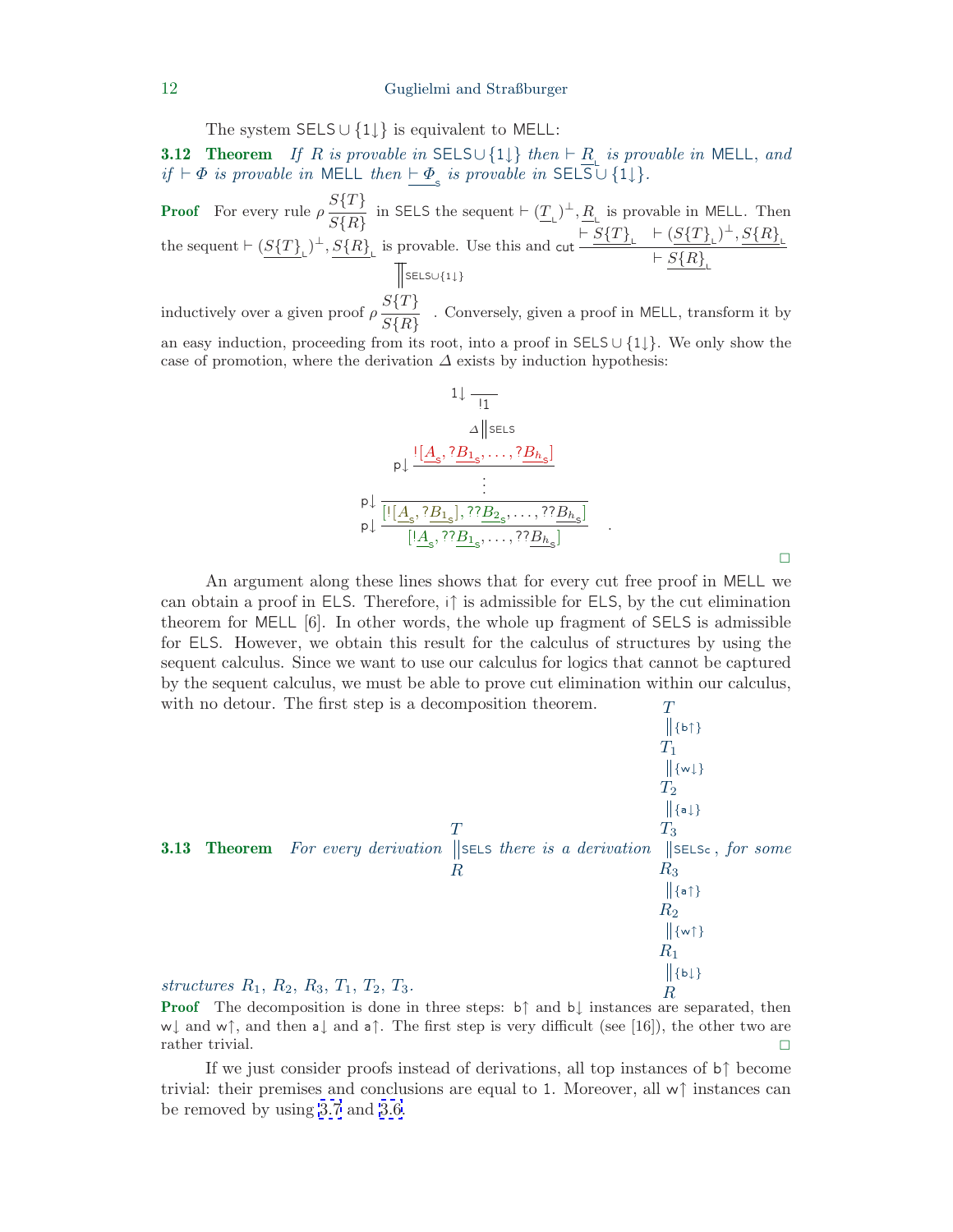The system  $SELS \cup \{1\}$  is equivalent to MELL:

<span id="page-11-0"></span>**3.12 Theorem** If R is provable in SELS∪ $\{1\}$  then  $\vdash R$  is provable in MELL, and if  $\vdash \Phi$  is provable in MELL then  $\vdash \Phi_{\varsigma}$  is provable in SELS∪ {1↓}.

**Proof** For every rule  $\rho \frac{S\{T\}}{S\{R\}}$  in SELS the sequent  $\vdash (\underline{T}_{\perp})^{\perp}, \underline{R}_{\perp}$  is provable in MELL. Then the sequent  $\vdash (\underline{S\{T\}}_L)^{\perp}, \underline{S\{R\}}_L$  is provable. Use this and cut  $\frac{\vdash S\{T\}}{\vdash S\{R\}} \vdash (\underline{S\{T\}}_L)^{\perp}, \underline{S\{R\}}_L$  $S{R}_{\perp}$ <br>SELS∪{1↓} inductively over a given proof  $\rho \frac{S\{T\}}{S\{R\}}$ . Conversely, given a proof in MELL, transform it by

an easy induction, proceeding from its root, into a proof in  $SELS \cup \{1\}$ . We only show the case of promotion, where the derivation  $\Delta$  exists by induction hypothesis:

$$
1 \downarrow \frac{\overbrace{11}}{\overbrace{11}}
$$
\n
$$
\Delta \parallel \text{SELS}
$$
\n
$$
p \downarrow \frac{\mathbf{I}[A_s, ?B_{1_s}, \dots, ?B_{h_s}]}{\vdots}
$$
\n
$$
p \downarrow \frac{\overbrace{[![A_s, ?B_{1_s}], ??B_{2_s}, \dots, ??B_{h_s}]}^{[![A_s, ?B_{1_s}], ??B_{2_s}, \dots, ??B_{h_s}]}^{[![A_s, ?B_{1_s}, \dots, ?]}}.
$$

 $\Box$ 

An argument along these lines shows that for every cut free proof in MELL we can obtain a proof in ELS. Therefore,  $\hat{\tau}$  is admissible for ELS, by the cut elimination theorem for MELL [6]. In other words, the whole up fragment of SELS is admissible for ELS. However, we obtain this result for the calculus of structures by using the sequent calculus. Since we want to use our calculus for logics that cannot be captured by the sequent calculus, we must be able to prove cut elimination within our calculus, with no detour. The first step is a decomposition theorem. T



**Proof** The decomposition is done in three steps:  $\mathbf{b}$ ↑ and  $\mathbf{b}$  instances are separated, then w↓ and w↑, and then a↓ and a↑. The first step is very difficult (see [16]), the other two are rather trivial.  $\Box$ 

If we just consider proofs instead of derivations, all top instances of b↑ become trivial: their premises and conclusions are equal to 1. Moreover, all  $w\uparrow$  instances can be removed by using [3.7](#page-10-0) and [3.6](#page-10-0).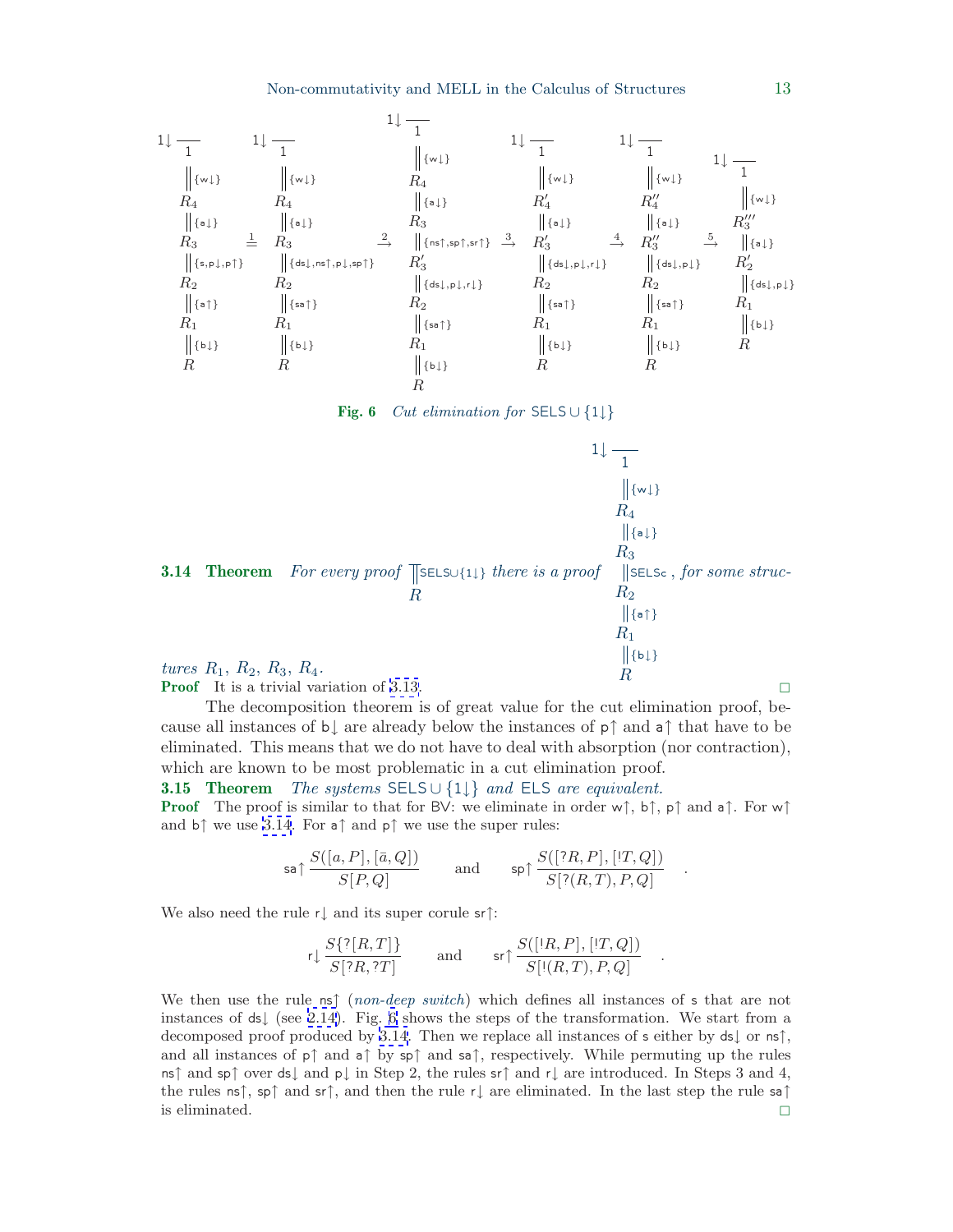Non-commutativity and MELL in the Calculus of Structures 13

<sup>1</sup><sup>↓</sup> <sup>1</sup> R<sup>4</sup> {w↓} R<sup>3</sup> {a↓} R<sup>2</sup> {s,p↓,p↑} R<sup>1</sup> {a↑} R {b↓} 1 = <sup>1</sup><sup>↓</sup> <sup>1</sup> R<sup>4</sup> {w↓} R<sup>3</sup> {a↓} R<sup>2</sup> {ds↓,ns↑,p↓,sp↑} R<sup>1</sup> {sa↑} R {b↓} 2 → <sup>1</sup><sup>↓</sup> <sup>1</sup> R<sup>4</sup> {w↓} R<sup>3</sup> {a↓} R 3 {ns↑,sp↑,sr↑} R<sup>2</sup> {ds↓,p↓,r↓} R<sup>1</sup> {sa↑} R {b↓} 3 → <sup>1</sup><sup>↓</sup> <sup>1</sup> R 4 {w↓} R 3 {a↓} R<sup>2</sup> {ds↓,p↓,r↓} R<sup>1</sup> {sa↑} R {b↓} 4 → <sup>1</sup><sup>↓</sup> <sup>1</sup> R 4 {w↓} R 3 {a↓} R<sup>2</sup> {ds↓,p↓} R<sup>1</sup> {sa↑} R {b↓} 5 → <sup>1</sup><sup>↓</sup> <sup>1</sup> R 3 {w↓} R 2 {a↓} R<sup>1</sup> {ds↓,p↓} R {b↓}

**Fig. 6** Cut elimination for SELS  $\cup$  {1↓}

**3.14 Theorem** For every proof R SELS∪{1↓} there is a proof <sup>1</sup><sup>↓</sup> <sup>1</sup> R<sup>4</sup> {w↓} R<sup>3</sup> {a↓} R<sup>2</sup> SELSc R<sup>1</sup> {a↑} R {b↓} , for some structures R1, R2, R3, R4.

**Proof** It is a trivial variation of [3.13.](#page-11-0)

The decomposition theorem is of great value for the cut elimination proof, because all instances of  $\mathfrak{b}$  are already below the instances of  $\mathfrak{p}\uparrow$  and  $\mathfrak{a}\uparrow$  that have to be eliminated. This means that we do not have to deal with absorption (nor contraction), which are known to be most problematic in a cut elimination proof.

**3.15 Theorem** The systems SELS∪{1↓} and ELS are equivalent.

**Proof** The proof is similar to that for BV: we eliminate in order w↑, b↑, p↑ and a↑. For w↑ and  $\flat \uparrow$  we use 3.14. For  $\circ \uparrow$  and  $\circ \uparrow$  we use the super rules:

$$
\mathsf{sa}\uparrow \frac{S([a,P],[\bar{a},Q])}{S[P,Q]} \qquad \text{and} \qquad \mathsf{sp}\uparrow \frac{S([?R,P],[!T,Q])}{S[?(R,T),P,Q]} \quad .
$$

We also need the rule r↓ and its super corule sr↑:

$$
r \downarrow \frac{S\{?[R,T]\}}{S[?R,?T]}
$$
 and  $s \uparrow \frac{S([!R,P],[!T,Q])}{S[! (R,T),P,Q]}$ .

We then use the rule ns↑ (non-deep switch) which defines all instances of s that are not instances of ds↓ (see [2.14\)](#page-8-0). Fig. 6 shows the steps of the transformation. We start from a decomposed proof produced by 3.14. Then we replace all instances of s either by ds↓ or ns↑, and all instances of  $p \uparrow$  and  $q \uparrow$  by sp $\uparrow$  and sa $\uparrow$ , respectively. While permuting up the rules ns↑ and sp↑ over ds↓ and p↓ in Step 2, the rules sr↑ and r↓ are introduced. In Steps 3 and 4, the rules ns↑, sp↑ and sr↑, and then the rule r↓ are eliminated. In the last step the rule sa↑ is eliminated.  $\hfill \square$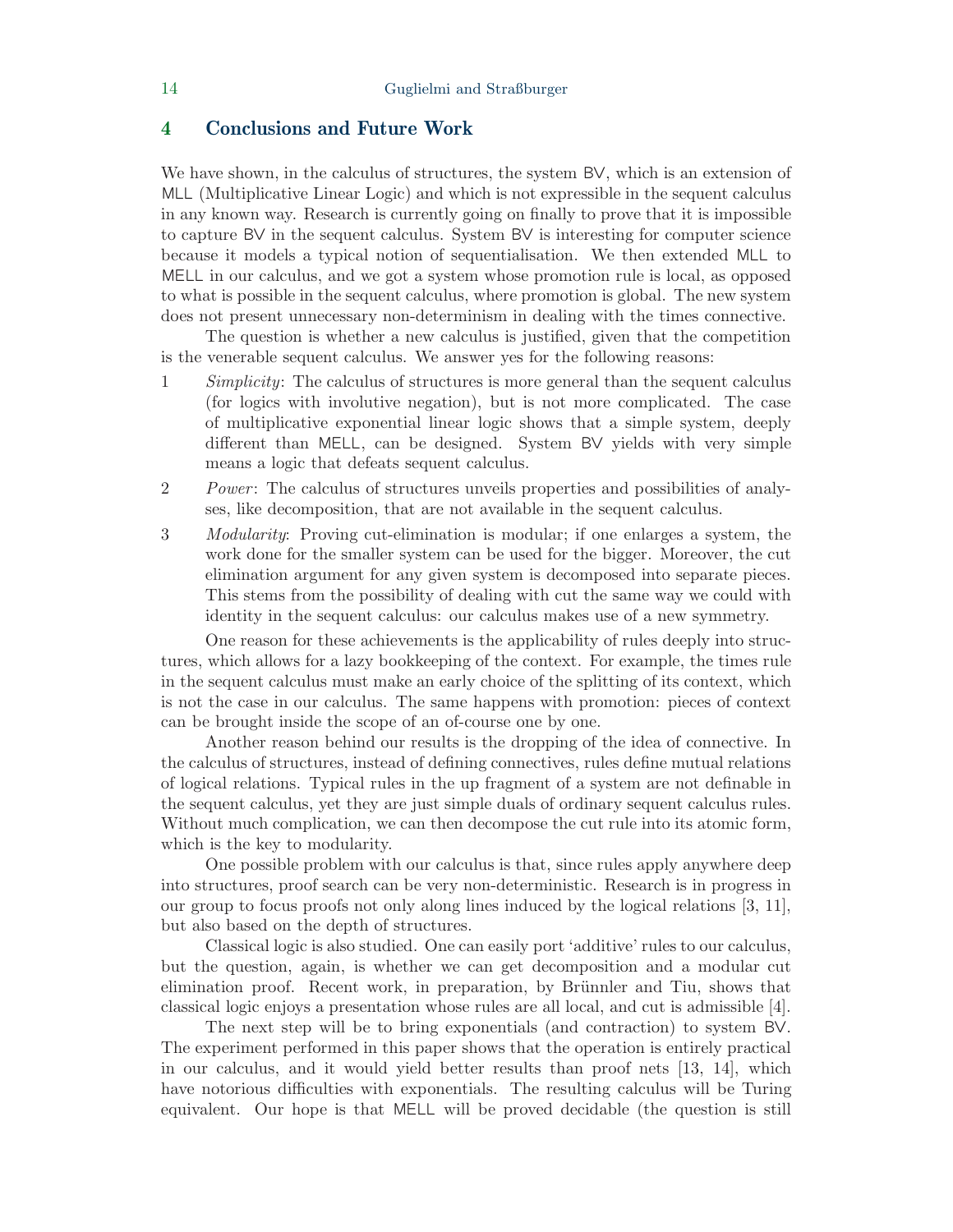## **4 Conclusions and Future Work**

We have shown, in the calculus of structures, the system BV, which is an extension of MLL (Multiplicative Linear Logic) and which is not expressible in the sequent calculus in any known way. Research is currently going on finally to prove that it is impossible to capture BV in the sequent calculus. System BV is interesting for computer science because it models a typical notion of sequentialisation. We then extended MLL to MELL in our calculus, and we got a system whose promotion rule is local, as opposed to what is possible in the sequent calculus, where promotion is global. The new system does not present unnecessary non-determinism in dealing with the times connective.

The question is whether a new calculus is justified, given that the competition is the venerable sequent calculus. We answer yes for the following reasons:

- 1 Simplicity: The calculus of structures is more general than the sequent calculus (for logics with involutive negation), but is not more complicated. The case of multiplicative exponential linear logic shows that a simple system, deeply different than MELL, can be designed. System BV yields with very simple means a logic that defeats sequent calculus.
- 2 Power: The calculus of structures unveils properties and possibilities of analyses, like decomposition, that are not available in the sequent calculus.
- 3 Modularity: Proving cut-elimination is modular; if one enlarges a system, the work done for the smaller system can be used for the bigger. Moreover, the cut elimination argument for any given system is decomposed into separate pieces. This stems from the possibility of dealing with cut the same way we could with identity in the sequent calculus: our calculus makes use of a new symmetry.

One reason for these achievements is the applicability of rules deeply into structures, which allows for a lazy bookkeeping of the context. For example, the times rule in the sequent calculus must make an early choice of the splitting of its context, which is not the case in our calculus. The same happens with promotion: pieces of context can be brought inside the scope of an of-course one by one.

Another reason behind our results is the dropping of the idea of connective. In the calculus of structures, instead of defining connectives, rules define mutual relations of logical relations. Typical rules in the up fragment of a system are not definable in the sequent calculus, yet they are just simple duals of ordinary sequent calculus rules. Without much complication, we can then decompose the cut rule into its atomic form, which is the key to modularity.

One possible problem with our calculus is that, since rules apply anywhere deep into structures, proof search can be very non-deterministic. Research is in progress in our group to focus proofs not only along lines induced by the logical relations [3, 11], but also based on the depth of structures.

Classical logic is also studied. One can easily port 'additive' rules to our calculus, but the question, again, is whether we can get decomposition and a modular cut elimination proof. Recent work, in preparation, by Brünnler and Tiu, shows that classical logic enjoys a presentation whose rules are all local, and cut is admissible [4].

The next step will be to bring exponentials (and contraction) to system BV . The experiment performed in this paper shows that the operation is entirely practical in our calculus, and it would yield better results than proof nets [13, 14], which have notorious difficulties with exponentials. The resulting calculus will be Turing equivalent. Our hope is that MELL will be proved decidable (the question is still